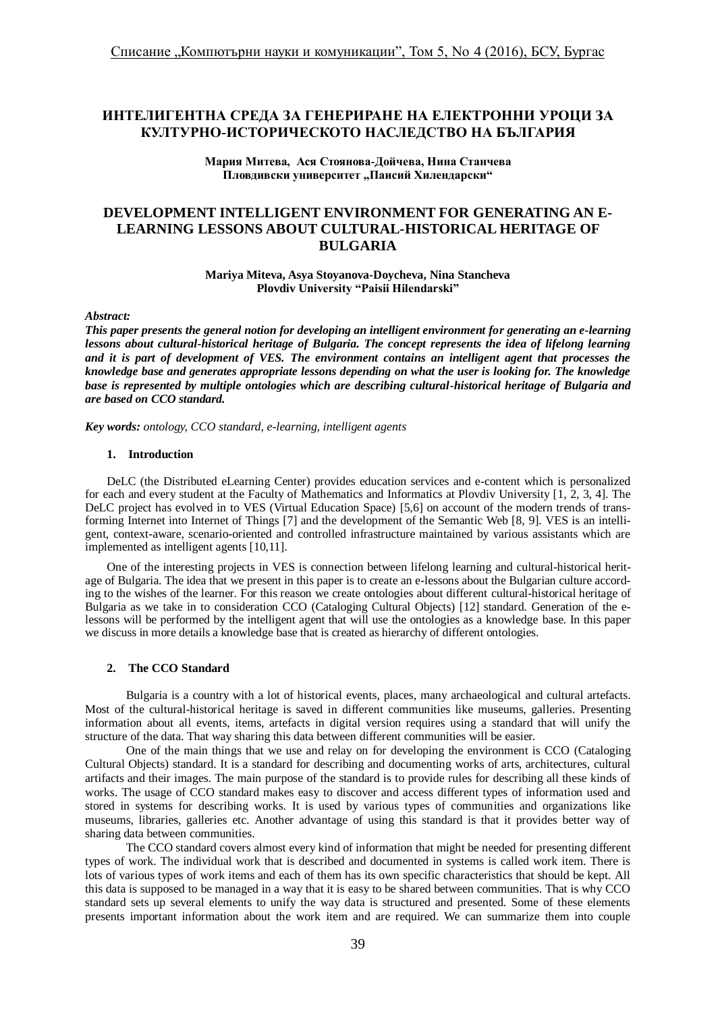# **ИНТЕЛИГЕНТНА СРЕДА ЗА ГЕНЕРИРАНЕ НА ЕЛЕКТРОННИ УРОЦИ ЗА КУЛТУРНО-ИСТОРИЧЕСКОТО НАСЛЕДСТВО НА БЪЛГАРИЯ**

**Мария Митева, Ася Стоянова-Дойчева, Нина Станчева** Пловдивски университет "Паисий Хилендарски"

# **DEVELOPMENT INTELLIGENT ENVIRONMENT FOR GENERATING AN E-LEARNING LESSONS ABOUT CULTURAL-HISTORICAL HERITAGE OF BULGARIA**

**Mariya Miteva, Asya Stoyanova-Doycheva, Nina Stancheva Plovdiv University "Paisii Hilendarski"**

#### *Abstract:*

*This paper presents the general notion for developing an intelligent environment for generating an e-learning lessons about cultural-historical heritage of Bulgaria. The concept represents the idea of lifelong learning and it is part of development of VES. The environment contains an intelligent agent that processes the knowledge base and generates appropriate lessons depending on what the user is looking for. The knowledge base is represented by multiple ontologies which are describing cultural-historical heritage of Bulgaria and are based on CCO standard.*

*Key words: ontology, CCO standard, e-learning, intelligent agents*

#### **1. Introduction**

DeLC (the Distributed eLearning Center) provides education services and e-content which is personalized for each and every student at the Faculty of Mathematics and Informatics at Plovdiv University [1, 2, 3, 4]. The DeLC project has evolved in to VES (Virtual Education Space) [5,6] on account of the modern trends of transforming Internet into Internet of Things [7] and the development of the Semantic Web [8, 9]. VES is an intelligent, context-aware, scenario-oriented and controlled infrastructure maintained by various assistants which are implemented as intelligent agents [10,11].

One of the interesting projects in VES is connection between lifelong learning and cultural-historical heritage of Bulgaria. The idea that we present in this paper is to create an e-lessons about the Bulgarian culture according to the wishes of the learner. For this reason we create ontologies about different cultural-historical heritage of Bulgaria as we take in to consideration CCO (Cataloging Cultural Objects) [12] standard. Generation of the elessons will be performed by the intelligent agent that will use the ontologies as a knowledge base. In this paper we discuss in more details a knowledge base that is created as hierarchy of different ontologies.

### **2. The CCO Standard**

Bulgaria is a country with a lot of historical events, places, many archaeological and cultural artefacts. Most of the cultural-historical heritage is saved in different communities like museums, galleries. Presenting information about all events, items, artefacts in digital version requires using a standard that will unify the structure of the data. That way sharing this data between different communities will be easier.

One of the main things that we use and relay on for developing the environment is CCO (Cataloging Cultural Objects) standard. It is a standard for describing and documenting works of arts, architectures, cultural artifacts and their images. The main purpose of the standard is to provide rules for describing all these kinds of works. The usage of CCO standard makes easy to discover and access different types of information used and stored in systems for describing works. It is used by various types of communities and organizations like museums, libraries, galleries etc. Another advantage of using this standard is that it provides better way of sharing data between communities.

The CCO standard covers almost every kind of information that might be needed for presenting different types of work. The individual work that is described and documented in systems is called work item. There is lots of various types of work items and each of them has its own specific characteristics that should be kept. All this data is supposed to be managed in a way that it is easy to be shared between communities. That is why CCO standard sets up several elements to unify the way data is structured and presented. Some of these elements presents important information about the work item and are required. We can summarize them into couple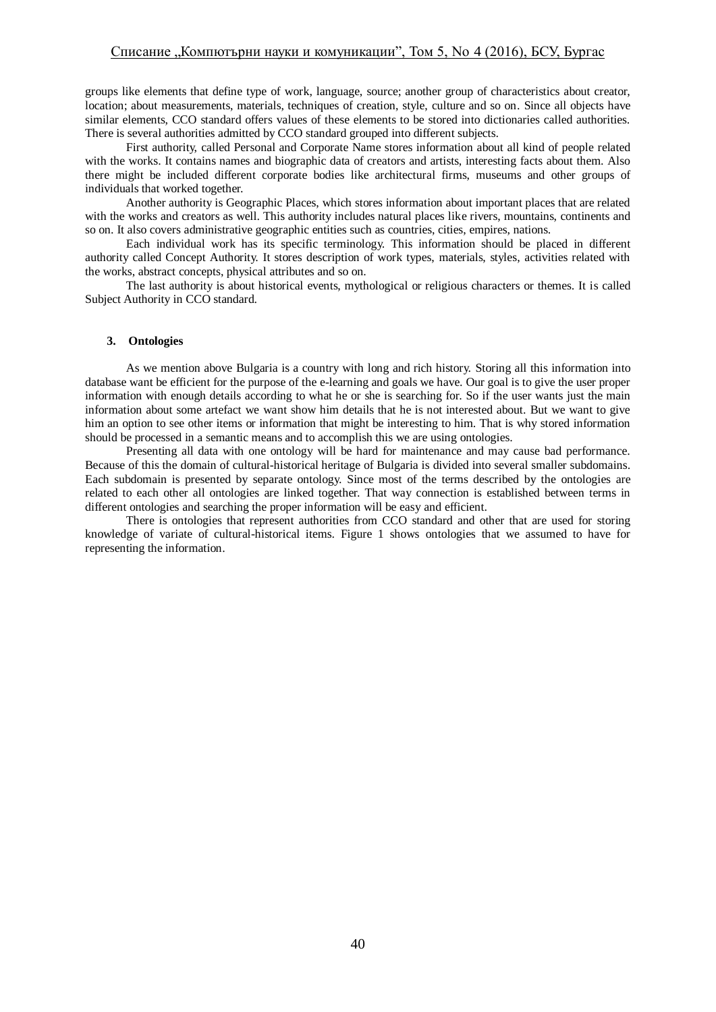groups like elements that define type of work, language, source; another group of characteristics about creator, location; about measurements, materials, techniques of creation, style, culture and so on. Since all objects have similar elements, CCO standard offers values of these elements to be stored into dictionaries called authorities. There is several authorities admitted by CCO standard grouped into different subjects.

First authority, called Personal and Corporate Name stores information about all kind of people related with the works. It contains names and biographic data of creators and artists, interesting facts about them. Also there might be included different corporate bodies like architectural firms, museums and other groups of individuals that worked together.

Another authority is Geographic Places, which stores information about important places that are related with the works and creators as well. This authority includes natural places like rivers, mountains, continents and so on. It also covers administrative geographic entities such as countries, cities, empires, nations.

Each individual work has its specific terminology. This information should be placed in different authority called Concept Authority. It stores description of work types, materials, styles, activities related with the works, abstract concepts, physical attributes and so on.

The last authority is about historical events, mythological or religious characters or themes. It is called Subject Authority in CCO standard.

## **3. Ontologies**

As we mention above Bulgaria is a country with long and rich history. Storing all this information into database want be efficient for the purpose of the e-learning and goals we have. Our goal is to give the user proper information with enough details according to what he or she is searching for. So if the user wants just the main information about some artefact we want show him details that he is not interested about. But we want to give him an option to see other items or information that might be interesting to him. That is why stored information should be processed in a semantic means and to accomplish this we are using ontologies.

Presenting all data with one ontology will be hard for maintenance and may cause bad performance. Because of this the domain of cultural-historical heritage of Bulgaria is divided into several smaller subdomains. Each subdomain is presented by separate ontology. Since most of the terms described by the ontologies are related to each other all ontologies are linked together. That way connection is established between terms in different ontologies and searching the proper information will be easy and efficient.

There is ontologies that represent authorities from CCO standard and other that are used for storing knowledge of variate of cultural-historical items. Figure 1 shows ontologies that we assumed to have for representing the information.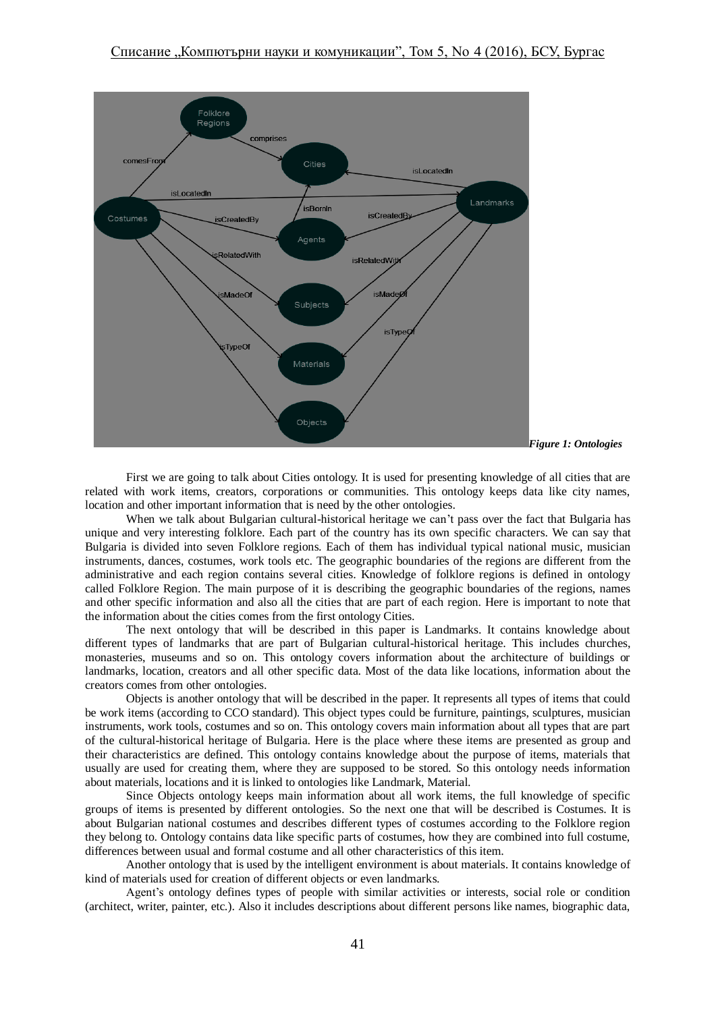

First we are going to talk about Cities ontology. It is used for presenting knowledge of all cities that are related with work items, creators, corporations or communities. This ontology keeps data like city names, location and other important information that is need by the other ontologies.

When we talk about Bulgarian cultural-historical heritage we can't pass over the fact that Bulgaria has unique and very interesting folklore. Each part of the country has its own specific characters. We can say that Bulgaria is divided into seven Folklore regions. Each of them has individual typical national music, musician instruments, dances, costumes, work tools etc. The geographic boundaries of the regions are different from the administrative and each region contains several cities. Knowledge of folklore regions is defined in ontology called Folklore Region. The main purpose of it is describing the geographic boundaries of the regions, names and other specific information and also all the cities that are part of each region. Here is important to note that the information about the cities comes from the first ontology Cities.

The next ontology that will be described in this paper is Landmarks. It contains knowledge about different types of landmarks that are part of Bulgarian cultural-historical heritage. This includes churches, monasteries, museums and so on. This ontology covers information about the architecture of buildings or landmarks, location, creators and all other specific data. Most of the data like locations, information about the creators comes from other ontologies.

Objects is another ontology that will be described in the paper. It represents all types of items that could be work items (according to CCO standard). This object types could be furniture, paintings, sculptures, musician instruments, work tools, costumes and so on. This ontology covers main information about all types that are part of the cultural-historical heritage of Bulgaria. Here is the place where these items are presented as group and their characteristics are defined. This ontology contains knowledge about the purpose of items, materials that usually are used for creating them, where they are supposed to be stored. So this ontology needs information about materials, locations and it is linked to ontologies like Landmark, Material.

Since Objects ontology keeps main information about all work items, the full knowledge of specific groups of items is presented by different ontologies. So the next one that will be described is Costumes. It is about Bulgarian national costumes and describes different types of costumes according to the Folklore region they belong to. Ontology contains data like specific parts of costumes, how they are combined into full costume, differences between usual and formal costume and all other characteristics of this item.

Another ontology that is used by the intelligent environment is about materials. It contains knowledge of kind of materials used for creation of different objects or even landmarks.

Agent's ontology defines types of people with similar activities or interests, social role or condition (architect, writer, painter, etc.). Also it includes descriptions about different persons like names, biographic data,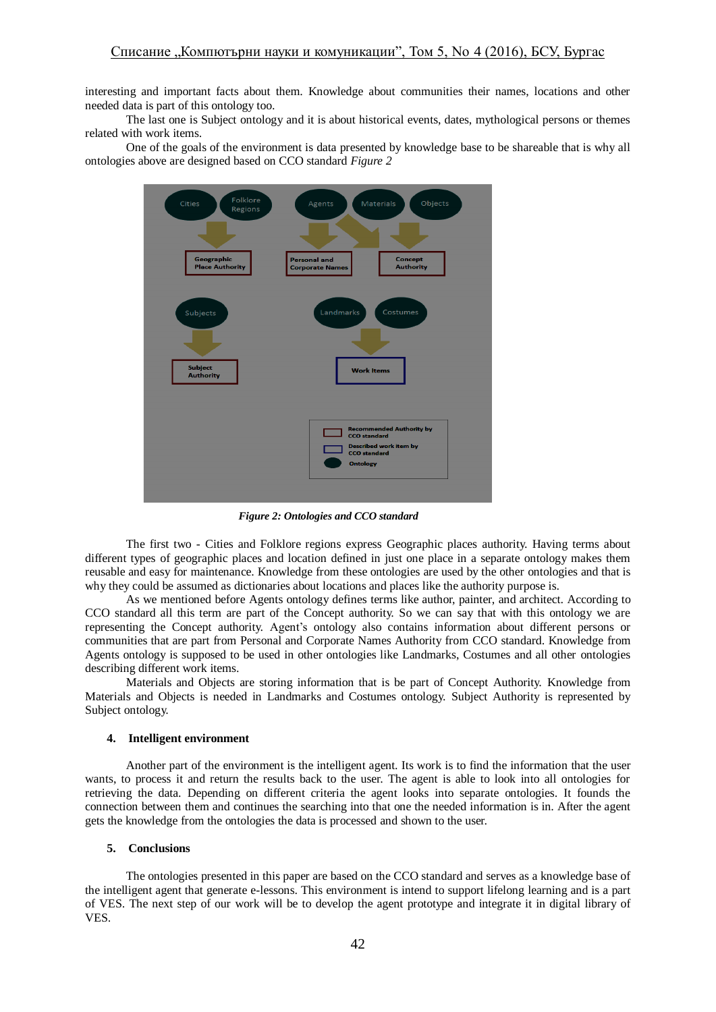interesting and important facts about them. Knowledge about communities their names, locations and other needed data is part of this ontology too.

The last one is Subject ontology and it is about historical events, dates, mythological persons or themes related with work items.

One of the goals of the environment is data presented by knowledge base to be shareable that is why all ontologies above are designed based on CCO standard *Figure 2*



*Figure 2: Ontologies and CCO standard*

The first two - Cities and Folklore regions express Geographic places authority. Having terms about different types of geographic places and location defined in just one place in a separate ontology makes them reusable and easy for maintenance. Knowledge from these ontologies are used by the other ontologies and that is why they could be assumed as dictionaries about locations and places like the authority purpose is.

As we mentioned before Agents ontology defines terms like author, painter, and architect. According to CCO standard all this term are part of the Concept authority. So we can say that with this ontology we are representing the Concept authority. Agent's ontology also contains information about different persons or communities that are part from Personal and Corporate Names Authority from CCO standard. Knowledge from Agents ontology is supposed to be used in other ontologies like Landmarks, Costumes and all other ontologies describing different work items.

Materials and Objects are storing information that is be part of Concept Authority. Knowledge from Materials and Objects is needed in Landmarks and Costumes ontology. Subject Authority is represented by Subject ontology.

#### **4. Intelligent environment**

Another part of the environment is the intelligent agent. Its work is to find the information that the user wants, to process it and return the results back to the user. The agent is able to look into all ontologies for retrieving the data. Depending on different criteria the agent looks into separate ontologies. It founds the connection between them and continues the searching into that one the needed information is in. After the agent gets the knowledge from the ontologies the data is processed and shown to the user.

### **5. Conclusions**

The ontologies presented in this paper are based on the CCO standard and serves as a knowledge base of the intelligent agent that generate e-lessons. This environment is intend to support lifelong learning and is a part of VES. The next step of our work will be to develop the agent prototype and integrate it in digital library of VES.